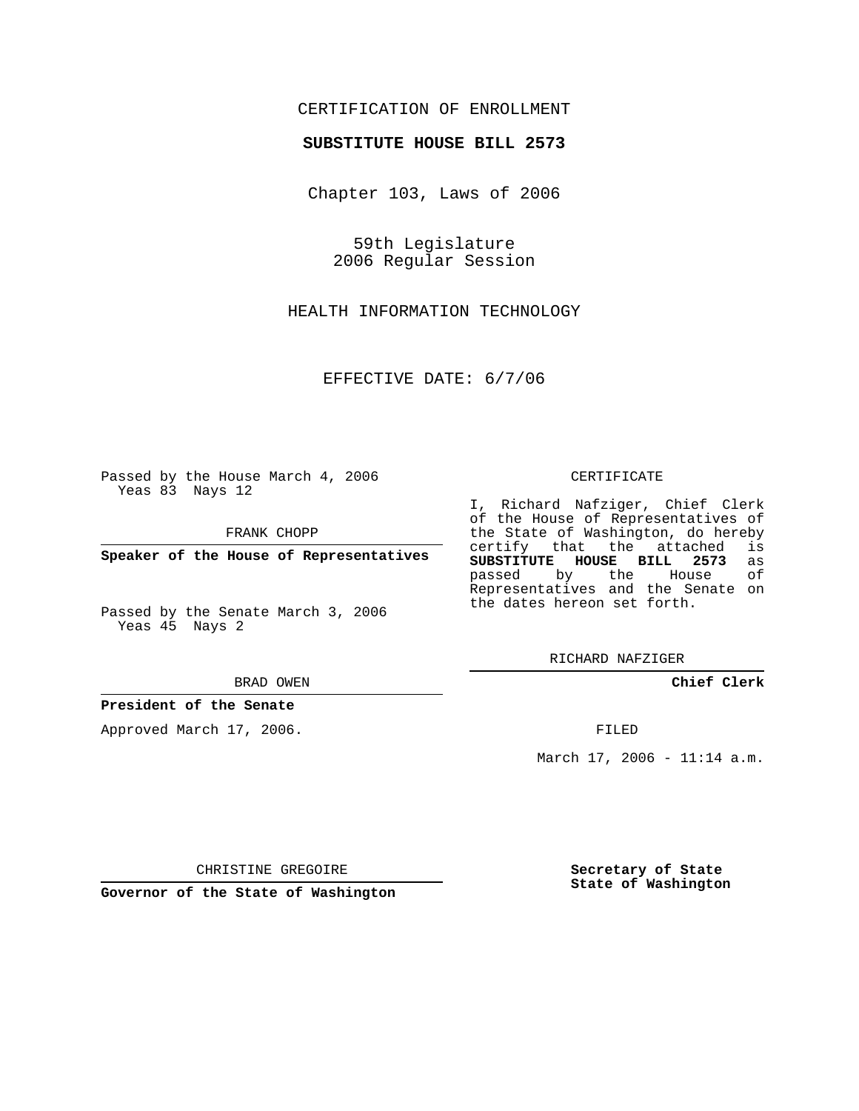## CERTIFICATION OF ENROLLMENT

## **SUBSTITUTE HOUSE BILL 2573**

Chapter 103, Laws of 2006

59th Legislature 2006 Regular Session

HEALTH INFORMATION TECHNOLOGY

EFFECTIVE DATE: 6/7/06

Passed by the House March 4, 2006 Yeas 83 Nays 12

FRANK CHOPP

**Speaker of the House of Representatives**

Passed by the Senate March 3, 2006 Yeas 45 Nays 2

#### BRAD OWEN

## **President of the Senate**

Approved March 17, 2006.

#### CERTIFICATE

I, Richard Nafziger, Chief Clerk of the House of Representatives of the State of Washington, do hereby<br>certify that the attached is certify that the attached **SUBSTITUTE HOUSE BILL 2573** as passed by the House Representatives and the Senate on the dates hereon set forth.

RICHARD NAFZIGER

**Chief Clerk**

FILED

March 17, 2006 - 11:14 a.m.

CHRISTINE GREGOIRE

**Governor of the State of Washington**

**Secretary of State State of Washington**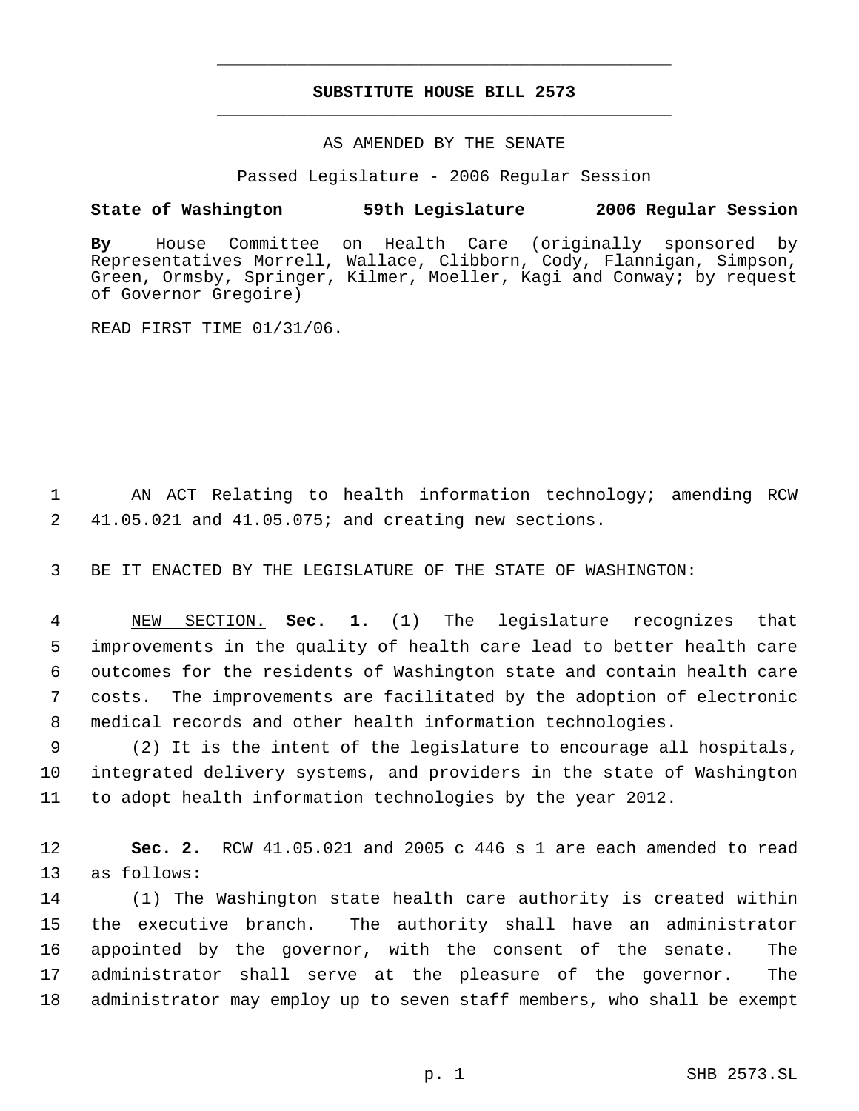## **SUBSTITUTE HOUSE BILL 2573** \_\_\_\_\_\_\_\_\_\_\_\_\_\_\_\_\_\_\_\_\_\_\_\_\_\_\_\_\_\_\_\_\_\_\_\_\_\_\_\_\_\_\_\_\_

\_\_\_\_\_\_\_\_\_\_\_\_\_\_\_\_\_\_\_\_\_\_\_\_\_\_\_\_\_\_\_\_\_\_\_\_\_\_\_\_\_\_\_\_\_

### AS AMENDED BY THE SENATE

Passed Legislature - 2006 Regular Session

## **State of Washington 59th Legislature 2006 Regular Session**

**By** House Committee on Health Care (originally sponsored by Representatives Morrell, Wallace, Clibborn, Cody, Flannigan, Simpson, Green, Ormsby, Springer, Kilmer, Moeller, Kagi and Conway; by request of Governor Gregoire)

READ FIRST TIME 01/31/06.

 1 AN ACT Relating to health information technology; amending RCW 2 41.05.021 and 41.05.075; and creating new sections.

3 BE IT ENACTED BY THE LEGISLATURE OF THE STATE OF WASHINGTON:

 NEW SECTION. **Sec. 1.** (1) The legislature recognizes that improvements in the quality of health care lead to better health care outcomes for the residents of Washington state and contain health care costs. The improvements are facilitated by the adoption of electronic medical records and other health information technologies.

 9 (2) It is the intent of the legislature to encourage all hospitals, 10 integrated delivery systems, and providers in the state of Washington 11 to adopt health information technologies by the year 2012.

12 **Sec. 2.** RCW 41.05.021 and 2005 c 446 s 1 are each amended to read 13 as follows:

 (1) The Washington state health care authority is created within the executive branch. The authority shall have an administrator appointed by the governor, with the consent of the senate. The administrator shall serve at the pleasure of the governor. The administrator may employ up to seven staff members, who shall be exempt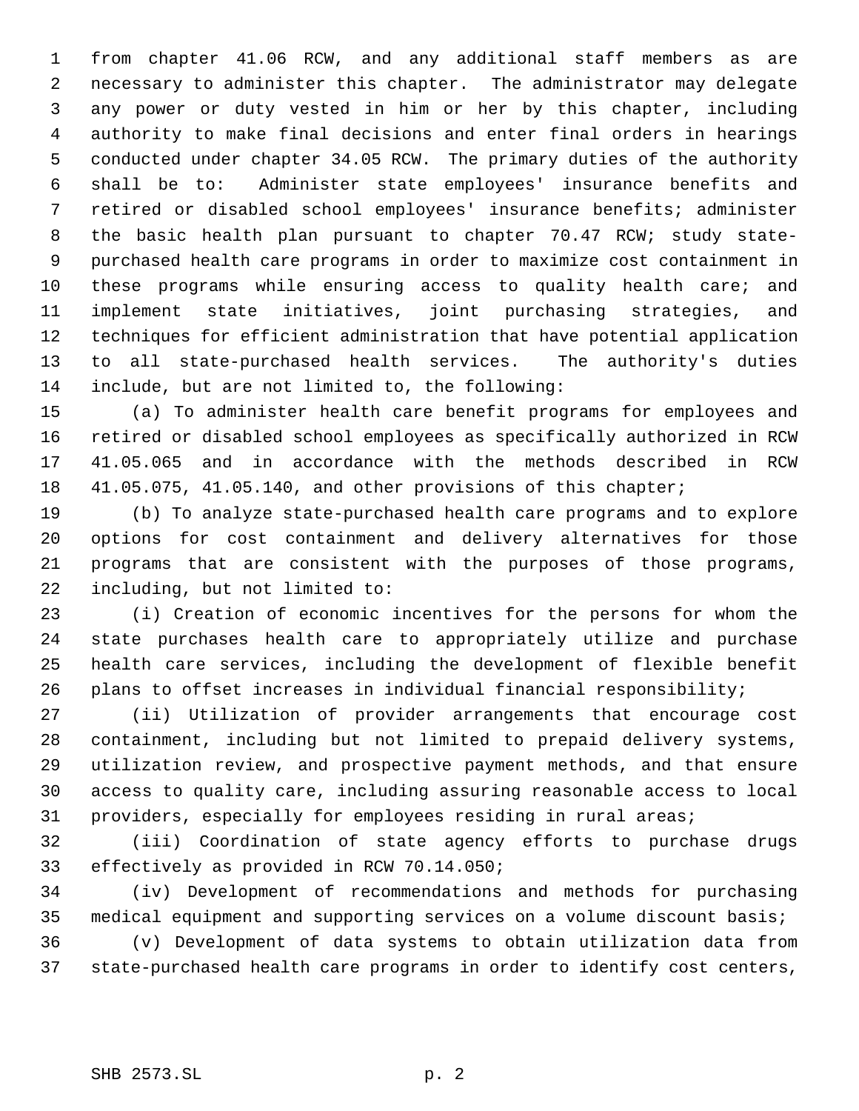from chapter 41.06 RCW, and any additional staff members as are necessary to administer this chapter. The administrator may delegate any power or duty vested in him or her by this chapter, including authority to make final decisions and enter final orders in hearings conducted under chapter 34.05 RCW. The primary duties of the authority shall be to: Administer state employees' insurance benefits and retired or disabled school employees' insurance benefits; administer the basic health plan pursuant to chapter 70.47 RCW; study state- purchased health care programs in order to maximize cost containment in these programs while ensuring access to quality health care; and implement state initiatives, joint purchasing strategies, and techniques for efficient administration that have potential application to all state-purchased health services. The authority's duties include, but are not limited to, the following:

 (a) To administer health care benefit programs for employees and retired or disabled school employees as specifically authorized in RCW 41.05.065 and in accordance with the methods described in RCW 41.05.075, 41.05.140, and other provisions of this chapter;

 (b) To analyze state-purchased health care programs and to explore options for cost containment and delivery alternatives for those programs that are consistent with the purposes of those programs, including, but not limited to:

 (i) Creation of economic incentives for the persons for whom the state purchases health care to appropriately utilize and purchase health care services, including the development of flexible benefit plans to offset increases in individual financial responsibility;

 (ii) Utilization of provider arrangements that encourage cost containment, including but not limited to prepaid delivery systems, utilization review, and prospective payment methods, and that ensure access to quality care, including assuring reasonable access to local providers, especially for employees residing in rural areas;

 (iii) Coordination of state agency efforts to purchase drugs effectively as provided in RCW 70.14.050;

 (iv) Development of recommendations and methods for purchasing medical equipment and supporting services on a volume discount basis;

 (v) Development of data systems to obtain utilization data from state-purchased health care programs in order to identify cost centers,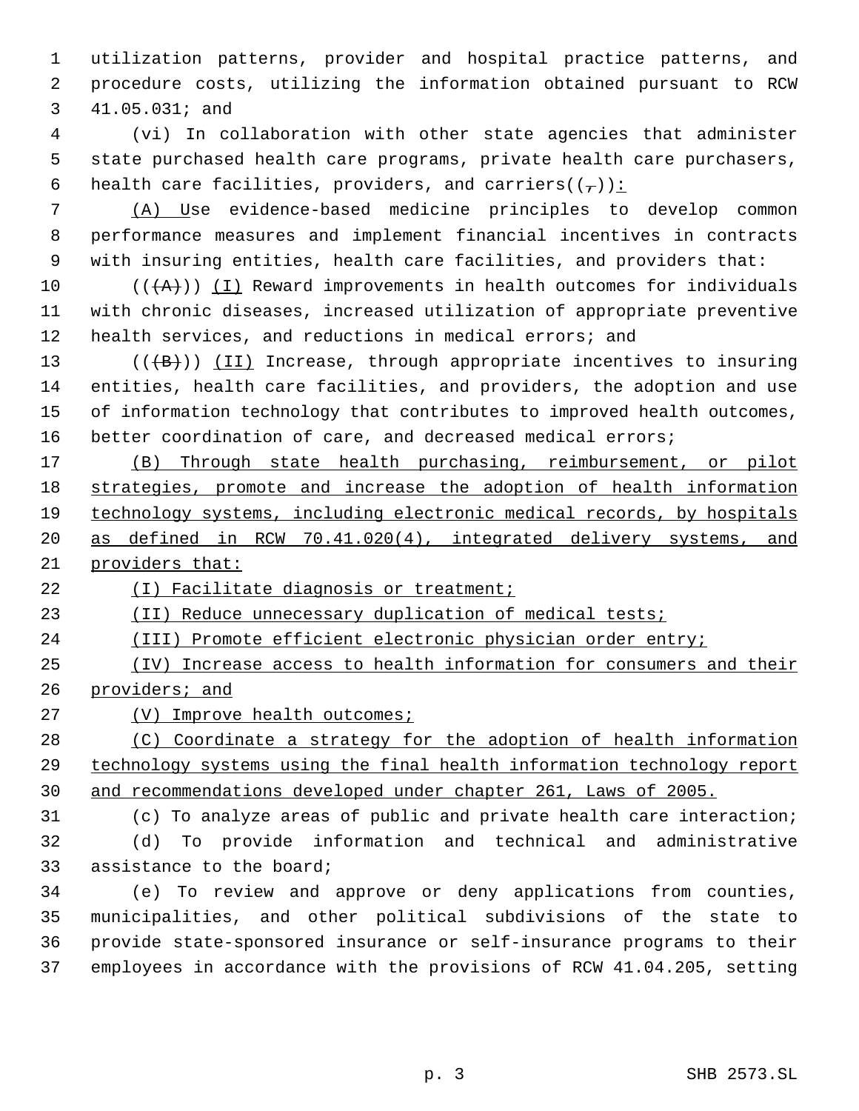utilization patterns, provider and hospital practice patterns, and procedure costs, utilizing the information obtained pursuant to RCW 41.05.031; and

 (vi) In collaboration with other state agencies that administer state purchased health care programs, private health care purchasers, 6 health care facilities, providers, and carriers( $(\tau)$ ):

 (A) Use evidence-based medicine principles to develop common performance measures and implement financial incentives in contracts with insuring entities, health care facilities, and providers that:

10 ( $(\overrightarrow{A})$ ) (I) Reward improvements in health outcomes for individuals with chronic diseases, increased utilization of appropriate preventive health services, and reductions in medical errors; and

 $((+B))$   $(II)$  Increase, through appropriate incentives to insuring entities, health care facilities, and providers, the adoption and use of information technology that contributes to improved health outcomes, better coordination of care, and decreased medical errors;

 (B) Through state health purchasing, reimbursement, or pilot strategies, promote and increase the adoption of health information technology systems, including electronic medical records, by hospitals as defined in RCW 70.41.020(4), integrated delivery systems, and providers that:

(I) Facilitate diagnosis or treatment;

23 (II) Reduce unnecessary duplication of medical tests;

(III) Promote efficient electronic physician order entry;

 (IV) Increase access to health information for consumers and their providers; and

27 (V) Improve health outcomes;

 (C) Coordinate a strategy for the adoption of health information technology systems using the final health information technology report and recommendations developed under chapter 261, Laws of 2005.

 (c) To analyze areas of public and private health care interaction; (d) To provide information and technical and administrative assistance to the board;

 (e) To review and approve or deny applications from counties, municipalities, and other political subdivisions of the state to provide state-sponsored insurance or self-insurance programs to their employees in accordance with the provisions of RCW 41.04.205, setting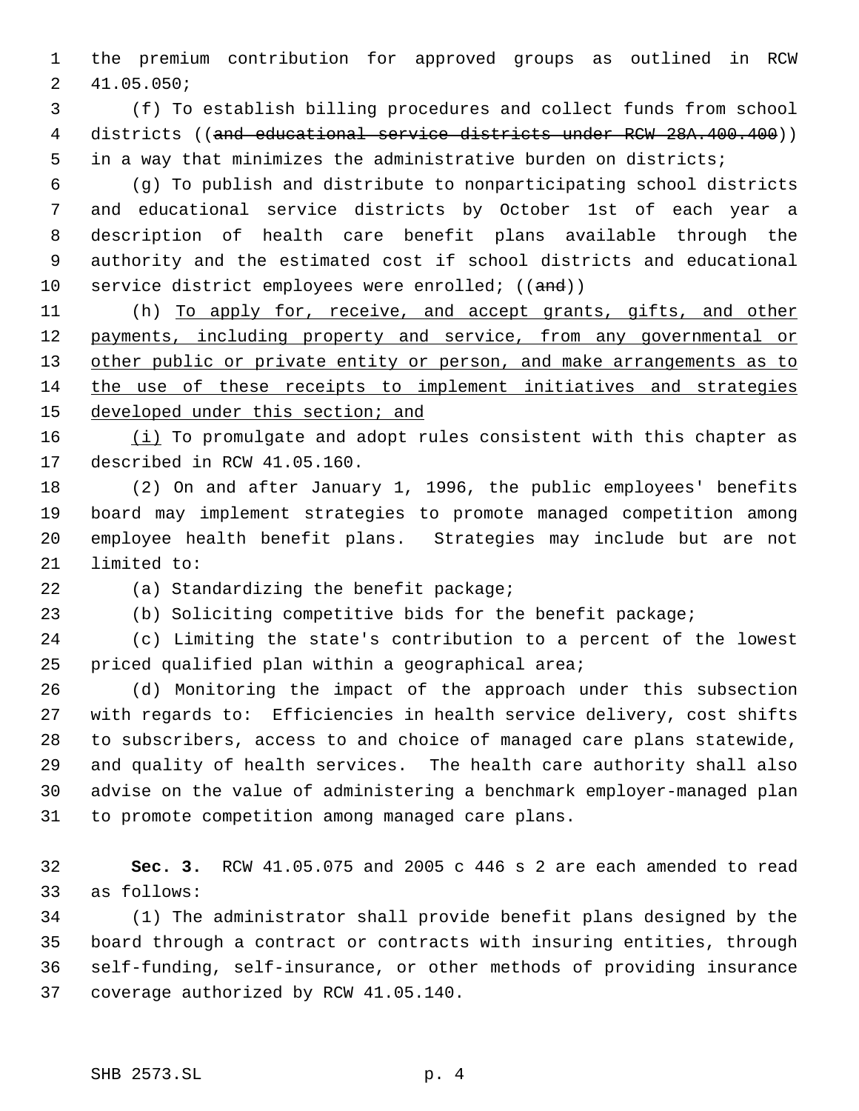the premium contribution for approved groups as outlined in RCW 41.05.050;

 (f) To establish billing procedures and collect funds from school 4 districts ((and educational service districts under RCW 28A.400.400)) in a way that minimizes the administrative burden on districts;

 (g) To publish and distribute to nonparticipating school districts and educational service districts by October 1st of each year a description of health care benefit plans available through the authority and the estimated cost if school districts and educational 10 service district employees were enrolled; ((and))

11 (h) To apply for, receive, and accept grants, gifts, and other 12 payments, including property and service, from any governmental or 13 other public or private entity or person, and make arrangements as to the use of these receipts to implement initiatives and strategies 15 developed under this section; and

16 (i) To promulgate and adopt rules consistent with this chapter as described in RCW 41.05.160.

 (2) On and after January 1, 1996, the public employees' benefits board may implement strategies to promote managed competition among employee health benefit plans. Strategies may include but are not limited to:

(a) Standardizing the benefit package;

(b) Soliciting competitive bids for the benefit package;

 (c) Limiting the state's contribution to a percent of the lowest priced qualified plan within a geographical area;

 (d) Monitoring the impact of the approach under this subsection with regards to: Efficiencies in health service delivery, cost shifts to subscribers, access to and choice of managed care plans statewide, and quality of health services. The health care authority shall also advise on the value of administering a benchmark employer-managed plan to promote competition among managed care plans.

 **Sec. 3.** RCW 41.05.075 and 2005 c 446 s 2 are each amended to read as follows:

 (1) The administrator shall provide benefit plans designed by the board through a contract or contracts with insuring entities, through self-funding, self-insurance, or other methods of providing insurance coverage authorized by RCW 41.05.140.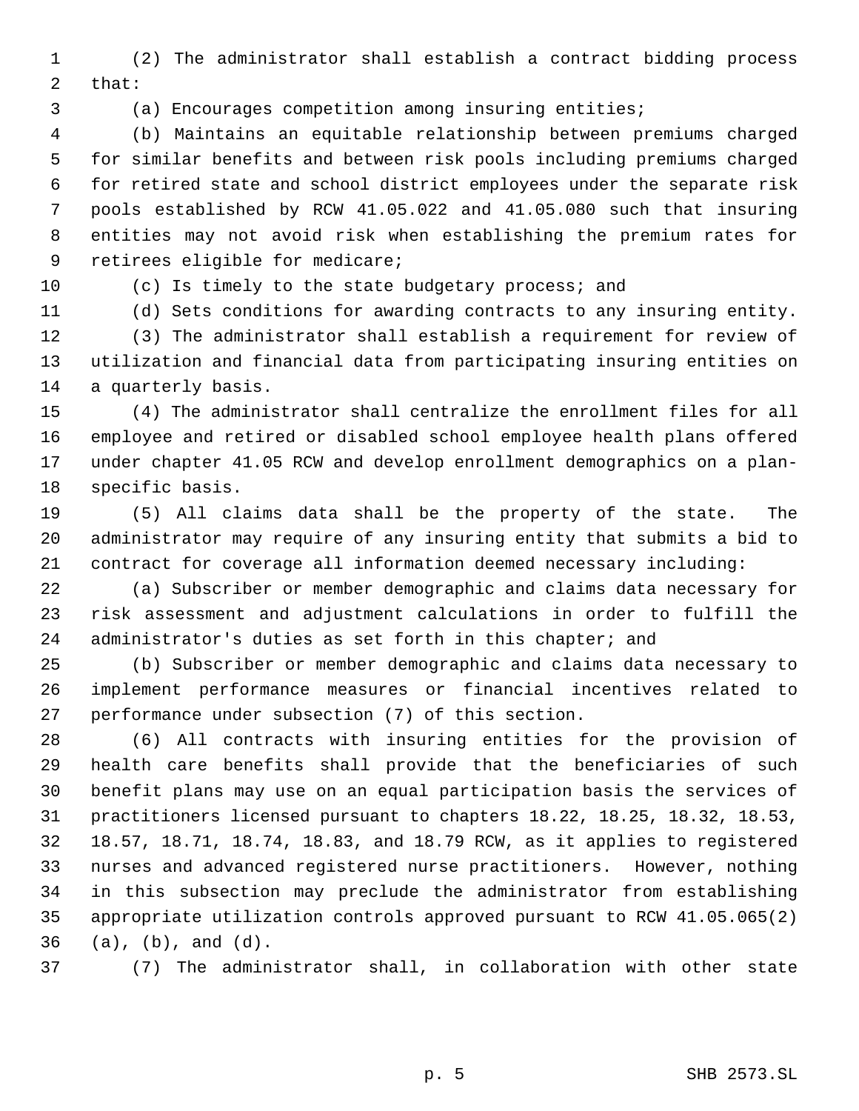(2) The administrator shall establish a contract bidding process that:

(a) Encourages competition among insuring entities;

 (b) Maintains an equitable relationship between premiums charged for similar benefits and between risk pools including premiums charged for retired state and school district employees under the separate risk pools established by RCW 41.05.022 and 41.05.080 such that insuring entities may not avoid risk when establishing the premium rates for retirees eligible for medicare;

# (c) Is timely to the state budgetary process; and

(d) Sets conditions for awarding contracts to any insuring entity.

 (3) The administrator shall establish a requirement for review of utilization and financial data from participating insuring entities on a quarterly basis.

 (4) The administrator shall centralize the enrollment files for all employee and retired or disabled school employee health plans offered under chapter 41.05 RCW and develop enrollment demographics on a plan-specific basis.

 (5) All claims data shall be the property of the state. The administrator may require of any insuring entity that submits a bid to contract for coverage all information deemed necessary including:

 (a) Subscriber or member demographic and claims data necessary for risk assessment and adjustment calculations in order to fulfill the administrator's duties as set forth in this chapter; and

 (b) Subscriber or member demographic and claims data necessary to implement performance measures or financial incentives related to performance under subsection (7) of this section.

 (6) All contracts with insuring entities for the provision of health care benefits shall provide that the beneficiaries of such benefit plans may use on an equal participation basis the services of practitioners licensed pursuant to chapters 18.22, 18.25, 18.32, 18.53, 18.57, 18.71, 18.74, 18.83, and 18.79 RCW, as it applies to registered nurses and advanced registered nurse practitioners. However, nothing in this subsection may preclude the administrator from establishing appropriate utilization controls approved pursuant to RCW 41.05.065(2) (a), (b), and (d).

(7) The administrator shall, in collaboration with other state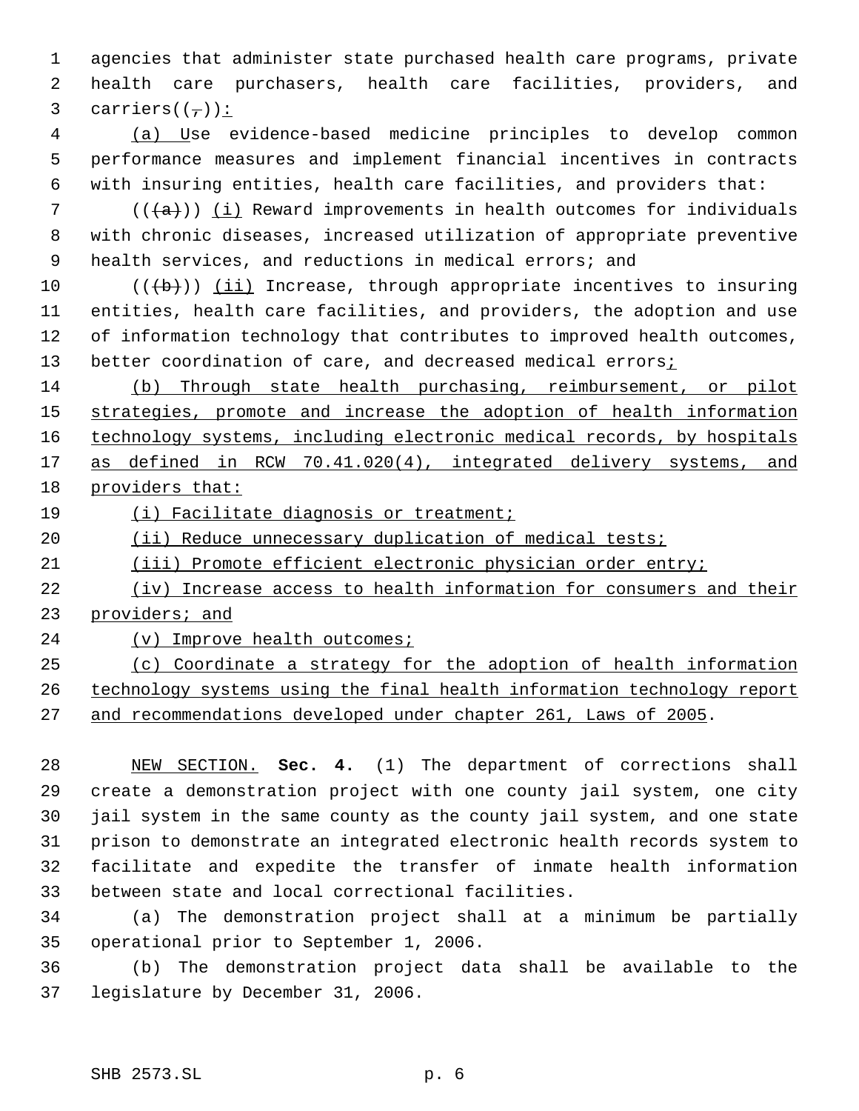agencies that administer state purchased health care programs, private health care purchasers, health care facilities, providers, and 3 carriers $((\overline{\phantom{a}}))$ :

 (a) Use evidence-based medicine principles to develop common performance measures and implement financial incentives in contracts with insuring entities, health care facilities, and providers that:

 $((+a))$  (i) Reward improvements in health outcomes for individuals with chronic diseases, increased utilization of appropriate preventive 9 health services, and reductions in medical errors; and

 $((\{b\})$  (ii) Increase, through appropriate incentives to insuring entities, health care facilities, and providers, the adoption and use of information technology that contributes to improved health outcomes, 13 better coordination of care, and decreased medical errors<sub>i</sub>

 (b) Through state health purchasing, reimbursement, or pilot strategies, promote and increase the adoption of health information 16 technology systems, including electronic medical records, by hospitals 17 as defined in RCW 70.41.020(4), integrated delivery systems, and providers that:

(i) Facilitate diagnosis or treatment;

20 (ii) Reduce unnecessary duplication of medical tests;

(iii) Promote efficient electronic physician order entry;

 (iv) Increase access to health information for consumers and their providers; and

24 (v) Improve health outcomes;

 (c) Coordinate a strategy for the adoption of health information technology systems using the final health information technology report and recommendations developed under chapter 261, Laws of 2005.

 NEW SECTION. **Sec. 4.** (1) The department of corrections shall create a demonstration project with one county jail system, one city jail system in the same county as the county jail system, and one state prison to demonstrate an integrated electronic health records system to facilitate and expedite the transfer of inmate health information between state and local correctional facilities.

 (a) The demonstration project shall at a minimum be partially operational prior to September 1, 2006.

 (b) The demonstration project data shall be available to the legislature by December 31, 2006.